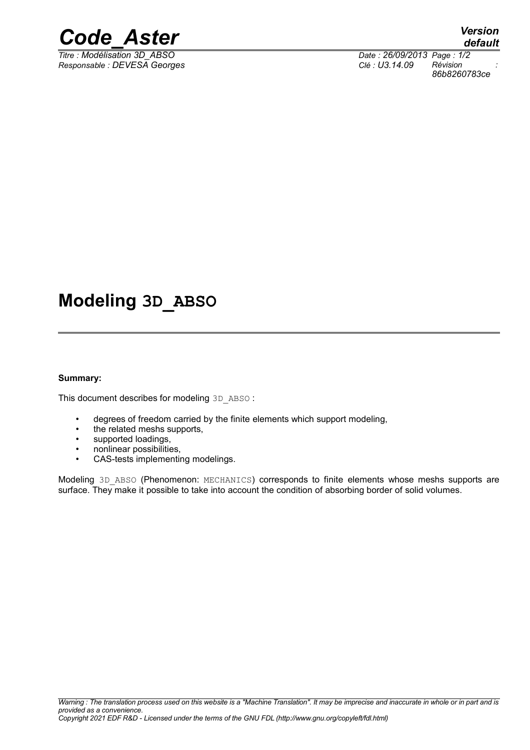

 $\overline{T}$ *Titre : Modélisation 3D\_ABSO Responsable : DEVESA Georges Clé : U3.14.09 Révision :*

*86b8260783ce*

## **Modeling 3D\_ABSO**

#### **Summary:**

This document describes for modeling 3D\_ABSO :

- degrees of freedom carried by the finite elements which support modeling,
- the related meshs supports,
- supported loadings,
- nonlinear possibilities,
- CAS-tests implementing modelings.

Modeling 3D ABSO (Phenomenon: MECHANICS) corresponds to finite elements whose meshs supports are surface. They make it possible to take into account the condition of absorbing border of solid volumes.